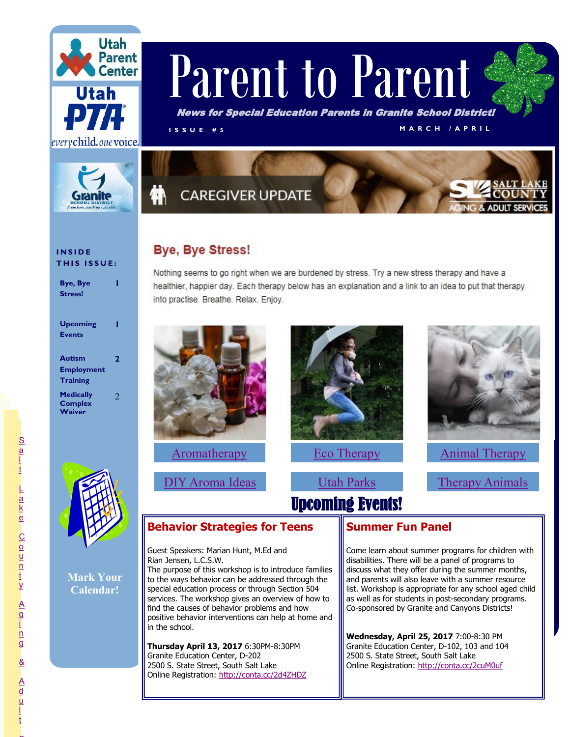



# Parent to Parent

News for Special Education Parents in Granite School District!

**I S S U E # 5 M A R C H / A P R I L**

## **CAREGIVER UPDATE**

## **Bye, Bye Stress!**

Nothing seems to go right when we are burdened by stress. Try a new stress therapy and have a healthier, happier day. Each therapy below has an explanation and a link to an idea to put that therapy into practise. Breathe. Relax. Enjoy.



**[Aromatherapy](http://health.howstuffworks.com/wellness/natural-medicine/aromatherapy/aromatherapy.htm)** 

[DIY Aroma Ideas](https://www.youtube.com/watch?v=NvCHGagF2Ck)



[Eco Therapy](http://www.goodtherapy.org/learn-about-therapy/types/econature-therapy)

Upcoming Events!

[Utah Parks](https://stateparks.utah.gov/)



[Animal Therapy](https://www.nsarco.com/therapy-animal-info.html)

[Therapy Animals](http://therapyanimalsutah.org/) 

**Mark Your Calendar!**

### **Behavior Strategies for Teens**

Guest Speakers: Marian Hunt, M.Ed and Rian Jensen, L.C.S.W.

The purpose of this workshop is to introduce families to the ways behavior can be addressed through the special education process or through Section 504 services. The workshop gives an overview of how to find the causes of behavior problems and how positive behavior interventions can help at home and in the school.

**Thursday April 13, 2017** 6:30PM-8:30PM Granite Education Center, D-202 2500 S. State Street, South Salt Lake Online Registration:<http://conta.cc/2d4ZHDZ>

#### **Summer Fun Panel**

Come learn about summer programs for children with disabilities. There will be a panel of programs to discuss what they offer during the summer months, and parents will also leave with a summer resource list. Workshop is appropriate for any school aged child as well as for students in post-secondary programs. Co-sponsored by Granite and Canyons Districts!

**Wednesday, April 25, 2017** 7:00-8:30 PM Granite Education Center, D-102, 103 and 104 2500 S. State Street, South Salt Lake Online Registration:<http://conta.cc/2cuM0uf>

 $\sim$ 

#### **I N S I D E THIS ISSUE:**

**1**

**Bye, Bye** 

**Stress! Upcoming Events 1 Autism Employment Training 2 Medically Complex Waiver** 2